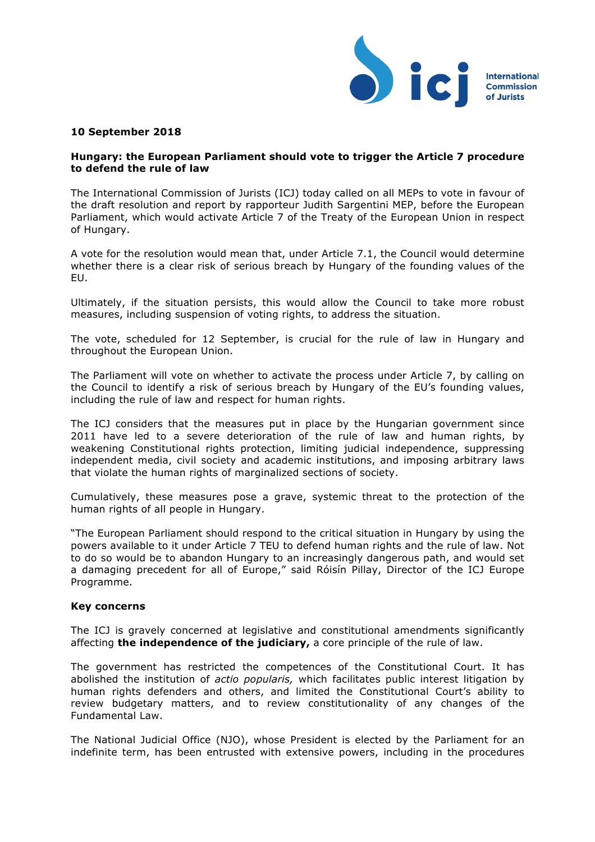

## **10 September 2018**

## **Hungary: the European Parliament should vote to trigger the Article 7 procedure to defend the rule of law**

The International Commission of Jurists (ICJ) today called on all MEPs to vote in favour of the draft resolution and report by rapporteur Judith Sargentini MEP, before the European Parliament, which would activate Article 7 of the Treaty of the European Union in respect of Hungary.

A vote for the resolution would mean that, under Article 7.1, the Council would determine whether there is a clear risk of serious breach by Hungary of the founding values of the EU.

Ultimately, if the situation persists, this would allow the Council to take more robust measures, including suspension of voting rights, to address the situation.

The vote, scheduled for 12 September, is crucial for the rule of law in Hungary and throughout the European Union.

The Parliament will vote on whether to activate the process under Article 7, by calling on the Council to identify a risk of serious breach by Hungary of the EU's founding values, including the rule of law and respect for human rights.

The ICJ considers that the measures put in place by the Hungarian government since 2011 have led to a severe deterioration of the rule of law and human rights, by weakening Constitutional rights protection, limiting judicial independence, suppressing independent media, civil society and academic institutions, and imposing arbitrary laws that violate the human rights of marginalized sections of society.

Cumulatively, these measures pose a grave, systemic threat to the protection of the human rights of all people in Hungary.

"The European Parliament should respond to the critical situation in Hungary by using the powers available to it under Article 7 TEU to defend human rights and the rule of law. Not to do so would be to abandon Hungary to an increasingly dangerous path, and would set a damaging precedent for all of Europe," said Róisín Pillay, Director of the ICJ Europe Programme.

## **Key concerns**

The ICJ is gravely concerned at legislative and constitutional amendments significantly affecting **the independence of the judiciary,** a core principle of the rule of law.

The government has restricted the competences of the Constitutional Court. It has abolished the institution of *actio popularis,* which facilitates public interest litigation by human rights defenders and others, and limited the Constitutional Court's ability to review budgetary matters, and to review constitutionality of any changes of the Fundamental Law.

The National Judicial Office (NJO), whose President is elected by the Parliament for an indefinite term, has been entrusted with extensive powers, including in the procedures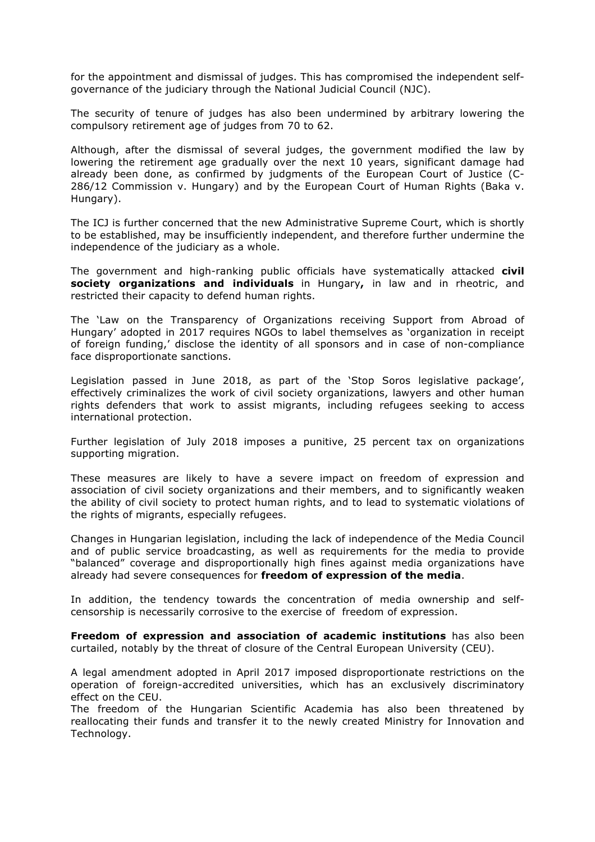for the appointment and dismissal of judges. This has compromised the independent selfgovernance of the judiciary through the National Judicial Council (NJC).

The security of tenure of judges has also been undermined by arbitrary lowering the compulsory retirement age of judges from 70 to 62.

Although, after the dismissal of several judges, the government modified the law by lowering the retirement age gradually over the next 10 years, significant damage had already been done, as confirmed by judgments of the European Court of Justice (C-286/12 Commission v. Hungary) and by the European Court of Human Rights (Baka v. Hungary).

The ICJ is further concerned that the new Administrative Supreme Court, which is shortly to be established, may be insufficiently independent, and therefore further undermine the independence of the judiciary as a whole.

The government and high-ranking public officials have systematically attacked **civil society organizations and individuals** in Hungary**,** in law and in rheotric, and restricted their capacity to defend human rights.

The 'Law on the Transparency of Organizations receiving Support from Abroad of Hungary' adopted in 2017 requires NGOs to label themselves as 'organization in receipt of foreign funding,' disclose the identity of all sponsors and in case of non-compliance face disproportionate sanctions.

Legislation passed in June 2018, as part of the 'Stop Soros legislative package', effectively criminalizes the work of civil society organizations, lawyers and other human rights defenders that work to assist migrants, including refugees seeking to access international protection.

Further legislation of July 2018 imposes a punitive, 25 percent tax on organizations supporting migration.

These measures are likely to have a severe impact on freedom of expression and association of civil society organizations and their members, and to significantly weaken the ability of civil society to protect human rights, and to lead to systematic violations of the rights of migrants, especially refugees.

Changes in Hungarian legislation, including the lack of independence of the Media Council and of public service broadcasting, as well as requirements for the media to provide "balanced" coverage and disproportionally high fines against media organizations have already had severe consequences for **freedom of expression of the media**.

In addition, the tendency towards the concentration of media ownership and selfcensorship is necessarily corrosive to the exercise of freedom of expression.

**Freedom of expression and association of academic institutions** has also been curtailed, notably by the threat of closure of the Central European University (CEU).

A legal amendment adopted in April 2017 imposed disproportionate restrictions on the operation of foreign-accredited universities, which has an exclusively discriminatory effect on the CEU.

The freedom of the Hungarian Scientific Academia has also been threatened by reallocating their funds and transfer it to the newly created Ministry for Innovation and Technology.